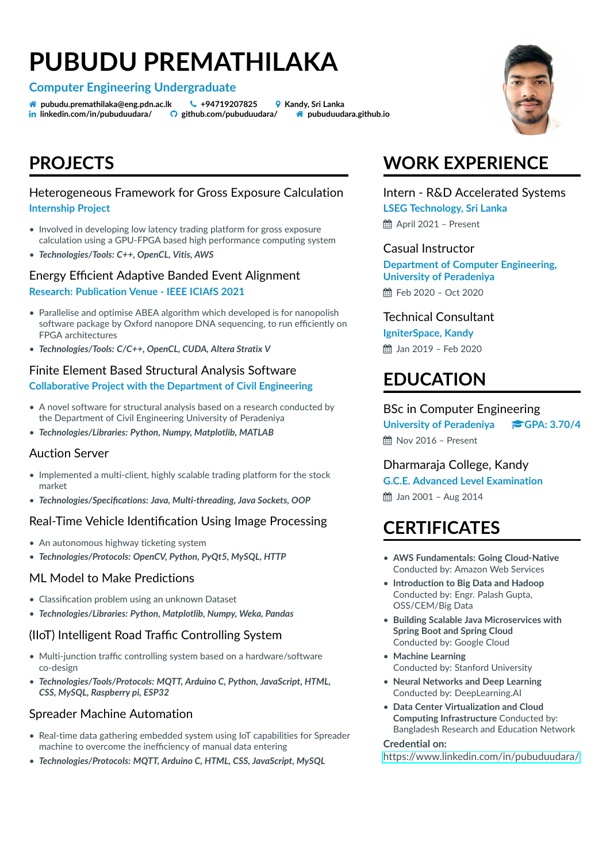# **PUBUDU PREMATHILAKA**

**Computer Engineering Undergraduate**

**A** pubudu.premathilaka@eng.pdn.ac.lk & +94719207825 <br>
andy, Sri Lanka ¯ **linkedin.com/in/pubuduudara/ github.com/pubuduudara/ pubuduudara.github.io**

### **PROJECTS**

### Heterogeneous Framework for Gross Exposure Calculation **Internship Project**

- Involved in developing low latency trading platform for gross exposure calculation using a GPU-FPGA based high performance computing system
- *Technologies/Tools: C++, OpenCL, Vitis, AWS*

### Energy Efficient Adaptive Banded Event Alignment **Research: Publication Venue - IEEE ICIAfS 2021**

- Parallelise and optimise ABEA algorithm which developed is for nanopolish software package by Oxford nanopore DNA sequencing, to run efficiently on FPGA architectures
- *Technologies/Tools: C/C++, OpenCL, CUDA, Altera Stratix V*

### Finite Element Based Structural Analysis Software **Collaborative Project with the Department of Civil Engineering**

- A novel software for structural analysis based on a research conducted by the Department of Civil Engineering University of Peradeniya
- *Technologies/Libraries: Python, Numpy, Matplotlib, MATLAB*

#### Auction Server

- Implemented a multi-client, highly scalable trading platform for the stock market
- *Technologies/Specifications: Java, Multi-threading, Java Sockets, OOP*

### Real-Time Vehicle Identification Using Image Processing

- An autonomous highway ticketing system
- *Technologies/Protocols: OpenCV, Python, PyQt5, MySQL, HTTP*

#### ML Model to Make Predictions

- Classification problem using an unknown Dataset
- *Technologies/Libraries: Python, Matplotlib, Numpy, Weka, Pandas*

### (IIoT) Intelligent Road Traffic Controlling System

- Multi-junction traffic controlling system based on a hardware/software co-design
- *Technologies/Tools/Protocols: MQTT, Arduino C, Python, JavaScript, HTML, CSS, MySQL, Raspberry pi, ESP32*

### Spreader Machine Automation

- Real-time data gathering embedded system using IoT capabilities for Spreader machine to overcome the inefficiency of manual data entering
- *Technologies/Protocols: MQTT, Arduino C, HTML, CSS, JavaScript, MySQL*

# **WORK EXPERIENCE**

Intern - R&D Accelerated Systems **LSEG Technology, Sri Lanka** April 2021 – Present

Casual Instructor

**Department of Computer Engineering, University of Peradeniya**

Feb 2020 – Oct 2020

### Technical Consultant

**IgniterSpace, Kandy** Jan 2019 – Feb 2020

### **EDUCATION**

BSc in Computer Engineering **University of Peradeniya GPA: 3.70/4**

Nov 2016 – Present

Dharmaraja College, Kandy

**G.C.E. Advanced Level Examination**

Jan 2001 – Aug 2014

### **CERTIFICATES**

- **AWS Fundamentals: Going Cloud-Native** Conducted by: Amazon Web Services
- **Introduction to Big Data and Hadoop** Conducted by: Engr. Palash Gupta, OSS/CEM/Big Data
- **Building Scalable Java Microservices with Spring Boot and Spring Cloud** Conducted by: Google Cloud
- **Machine Learning** Conducted by: Stanford University
- **Neural Networks and Deep Learning** Conducted by: DeepLearning.AI
- **Data Center Virtualization and Cloud Computing Infrastructure** Conducted by: Bangladesh Research and Education Network

#### **Credential on:**

<https://www.linkedin.com/in/pubuduudara/>